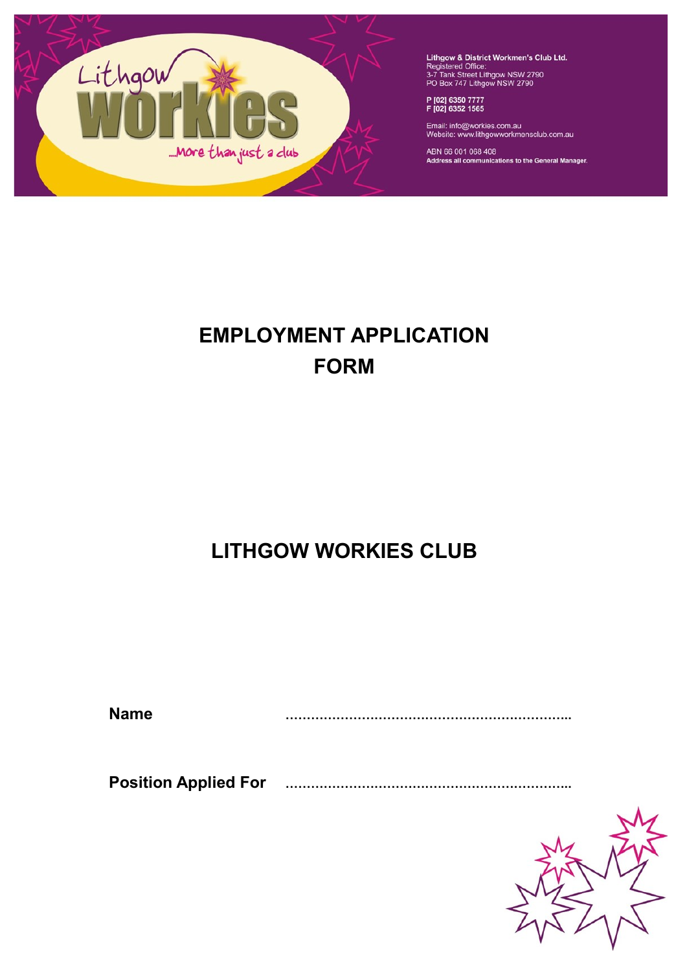

Lithgow & District Workmen's Club Ltd.<br>Registered Office:<br>3-7 Tank Street Lithgow NSW 2790<br>PO Box 747 Lithgow NSW 2790

P [02] 6350 7777<br>F [02] 6352 1565

Email: info@workies.com.au<br>Website: www.lithgowworkmensclub.com.au

ABN 66 001 068 408<br>Address all communications to the General Manager.

# **EMPLOYMENT APPLICATION FORM**

# **LITHGOW WORKIES CLUB**

**Name …………………………………………………………..**

 **Position Applied For …………………………………………………………..**

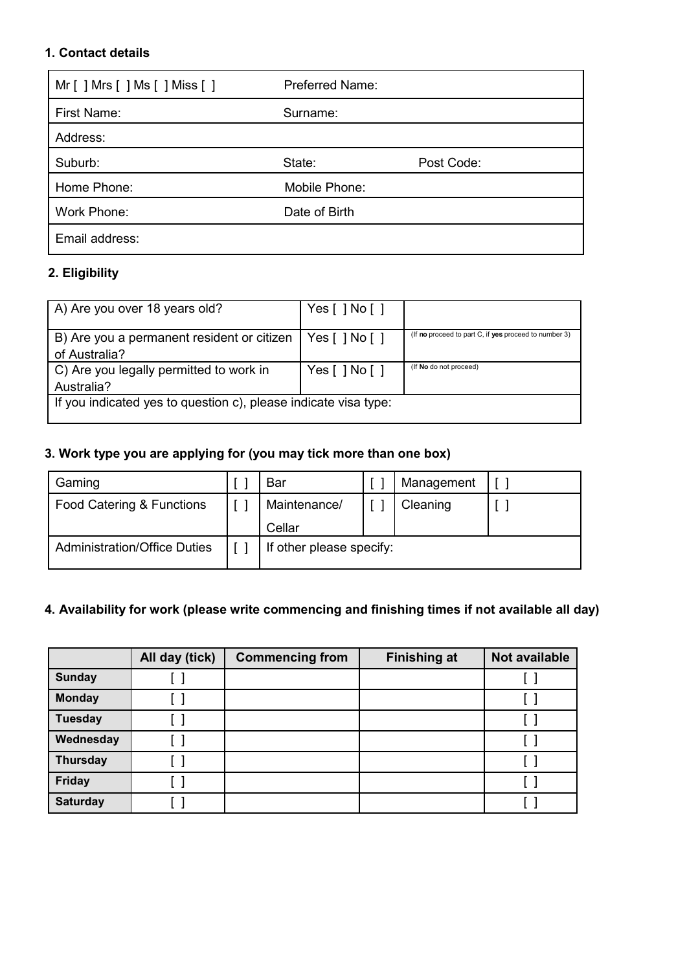### **1. Contact details**

| Mr [ ] Mrs [ ] Ms [ ] Miss [ ] | <b>Preferred Name:</b> |            |
|--------------------------------|------------------------|------------|
| First Name:                    | Surname:               |            |
| Address:                       |                        |            |
| Suburb:                        | State:                 | Post Code: |
| Home Phone:                    | Mobile Phone:          |            |
| Work Phone:                    | Date of Birth          |            |
| Email address:                 |                        |            |

# **2. Eligibility**

| A) Are you over 18 years old?                                   | Yes $[$ $]$ No $[$ $]$ |                                                       |  |  |  |
|-----------------------------------------------------------------|------------------------|-------------------------------------------------------|--|--|--|
| B) Are you a permanent resident or citizen                      | Yes [ ] No [ ]         | (If no proceed to part C, if yes proceed to number 3) |  |  |  |
| of Australia?                                                   |                        |                                                       |  |  |  |
| C) Are you legally permitted to work in                         | Yes[]No[]              | (If No do not proceed)                                |  |  |  |
| Australia?                                                      |                        |                                                       |  |  |  |
| If you indicated yes to question c), please indicate visa type: |                        |                                                       |  |  |  |
|                                                                 |                        |                                                       |  |  |  |

# **3. Work type you are applying for (you may tick more than one box)**

| Gaming                              | Bar                      |  | Management |  |
|-------------------------------------|--------------------------|--|------------|--|
| Food Catering & Functions           | Maintenance/             |  | Cleaning   |  |
|                                     | Cellar                   |  |            |  |
| <b>Administration/Office Duties</b> | If other please specify: |  |            |  |

# **4. Availability for work (please write commencing and finishing times if not available all day)**

|                 | All day (tick) | <b>Commencing from</b> | <b>Finishing at</b> | Not available |
|-----------------|----------------|------------------------|---------------------|---------------|
| <b>Sunday</b>   |                |                        |                     |               |
| <b>Monday</b>   |                |                        |                     |               |
| <b>Tuesday</b>  |                |                        |                     |               |
| Wednesday       |                |                        |                     |               |
| <b>Thursday</b> |                |                        |                     |               |
| Friday          |                |                        |                     |               |
| <b>Saturday</b> |                |                        |                     |               |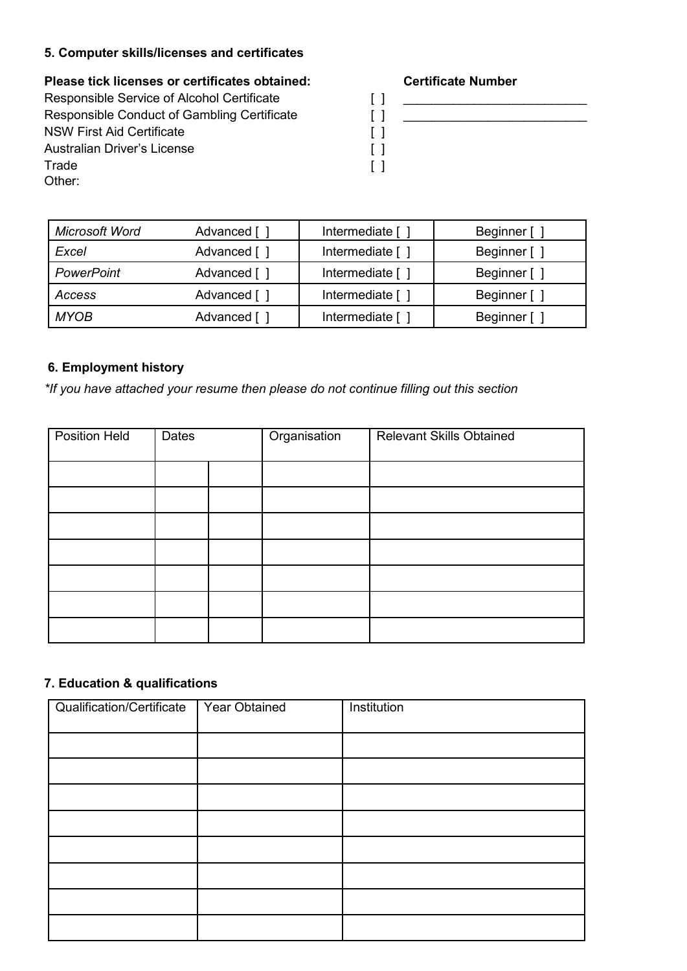# **5. Computer skills/licenses and certificates**

**Please tick licenses or certificates obtained: Certificate Number**

| Responsible Service of Alcohol Certificate  |                   |
|---------------------------------------------|-------------------|
| Responsible Conduct of Gambling Certificate | [ ]               |
| <b>NSW First Aid Certificate</b>            | $\lceil$ $\rceil$ |
| Australian Driver's License                 | $\lceil$ $\rceil$ |
| Trade                                       | $\Box$            |
| Other:                                      |                   |

Responsible Service of Alcohol Certificate [ ] \_\_\_\_\_\_\_\_\_\_\_\_\_\_\_\_\_\_\_\_\_\_\_\_\_\_ Responsible Conduct of Gambling Certificate [ ] \_\_\_\_\_\_\_\_\_\_\_\_\_\_\_\_\_\_\_\_\_\_\_\_\_\_

| Microsoft Word    | Advanced [   | Intermediate [   | Beginner [   |
|-------------------|--------------|------------------|--------------|
| Excel             | Advanced [ ] | Intermediate [ ] | Beginner [ ] |
| <b>PowerPoint</b> | Advanced [ ] | Intermediate [   | Beginner [ ] |
| Access            | Advanced [ ] | Intermediate [   | Beginner [ ] |
| <b>MYOB</b>       | Advanced [ ] | Intermediate [   | Beginner [ ] |

# **6. Employment history**

*\*If you have attached your resume then please do not continue filling out this section*

| <b>Position Held</b> | Dates | Organisation | Relevant Skills Obtained |
|----------------------|-------|--------------|--------------------------|
|                      |       |              |                          |
|                      |       |              |                          |
|                      |       |              |                          |
|                      |       |              |                          |
|                      |       |              |                          |
|                      |       |              |                          |
|                      |       |              |                          |

## **7. Education & qualifications**

| Qualification/Certificate | Year Obtained | Institution |
|---------------------------|---------------|-------------|
|                           |               |             |
|                           |               |             |
|                           |               |             |
|                           |               |             |
|                           |               |             |
|                           |               |             |
|                           |               |             |
|                           |               |             |